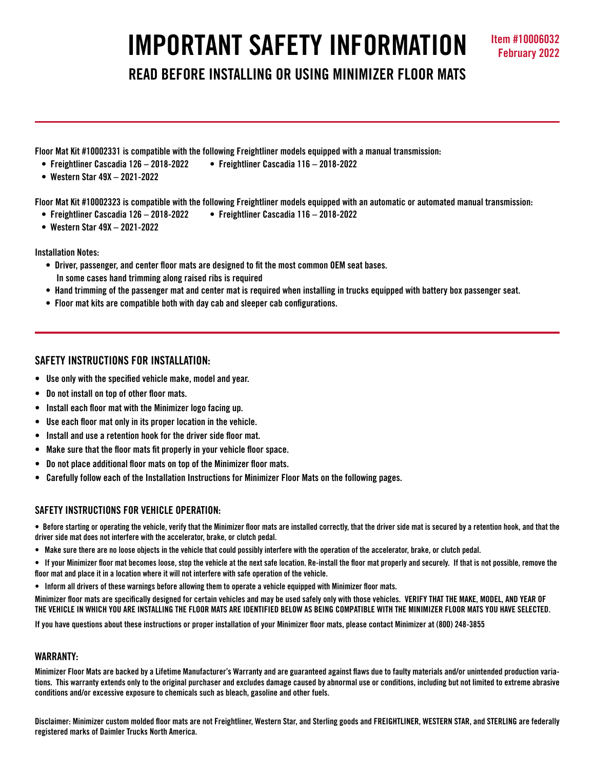# **IMPORTANT SAFETY INFORMATION Item #10006032**

**READ BEFORE INSTALLING OR USING MINIMIZER FLOOR MATS**

**Floor Mat Kit #10002331 is compatible with the following Freightliner models equipped with a manual transmission:**

- **Freightliner Cascadia 126 2018-2022 Freightliner Cascadia 116 2018-2022**
- **Western Star 49X 2021-2022**

**Floor Mat Kit #10002323 is compatible with the following Freightliner models equipped with an automatic or automated manual transmission:** 

- **Freightliner Cascadia 126 2018-2022 Freightliner Cascadia 116 2018-2022**
- **Western Star 49X 2021-2022**

# **Installation Notes:**

- **Driver, passenger, and center floor mats are designed to fit the most common OEM seat bases. In some cases hand trimming along raised ribs is required**
- **Hand trimming of the passenger mat and center mat is required when installing in trucks equipped with battery box passenger seat.**
- **Floor mat kits are compatible both with day cab and sleeper cab configurations.**

# **SAFETY INSTRUCTIONS FOR INSTALLATION:**

- **Use only with the specified vehicle make, model and year.**
- **Do not install on top of other floor mats.**
- **Install each floor mat with the Minimizer logo facing up.**
- **Use each floor mat only in its proper location in the vehicle.**
- **Install and use a retention hook for the driver side floor mat.**
- **Make sure that the floor mats fit properly in your vehicle floor space.**
- **Do not place additional floor mats on top of the Minimizer floor mats.**
- **Carefully follow each of the Installation Instructions for Minimizer Floor Mats on the following pages.**

# **SAFETY INSTRUCTIONS FOR VEHICLE OPERATION:**

**• Before starting or operating the vehicle, verify that the Minimizer floor mats are installed correctly, that the driver side mat is secured by a retention hook, and that the driver side mat does not interfere with the accelerator, brake, or clutch pedal.**

- **Make sure there are no loose objects in the vehicle that could possibly interfere with the operation of the accelerator, brake, or clutch pedal.**
- **If your Minimizer floor mat becomes loose, stop the vehicle at the next safe location. Re-install the floor mat properly and securely. If that is not possible, remove the floor mat and place it in a location where it will not interfere with safe operation of the vehicle.**
- **Inform all drivers of these warnings before allowing them to operate a vehicle equipped with Minimizer floor mats.**

**Minimizer floor mats are specifically designed for certain vehicles and may be used safely only with those vehicles. VERIFY THAT THE MAKE, MODEL, AND YEAR OF THE VEHICLE IN WHICH YOU ARE INSTALLING THE FLOOR MATS ARE IDENTIFIED BELOW AS BEING COMPATIBLE WITH THE MINIMIZER FLOOR MATS YOU HAVE SELECTED.** 

**If you have questions about these instructions or proper installation of your Minimizer floor mats, please contact Minimizer at (800) 248-3855**

# **WARRANTY:**

**Minimizer Floor Mats are backed by a Lifetime Manufacturer's Warranty and are guaranteed against flaws due to faulty materials and/or unintended production variations. This warranty extends only to the original purchaser and excludes damage caused by abnormal use or conditions, including but not limited to extreme abrasive conditions and/or excessive exposure to chemicals such as bleach, gasoline and other fuels.**

**Disclaimer: Minimizer custom molded floor mats are not Freightliner, Western Star, and Sterling goods and FREIGHTLINER, WESTERN STAR, and STERLING are federally registered marks of Daimler Trucks North America.**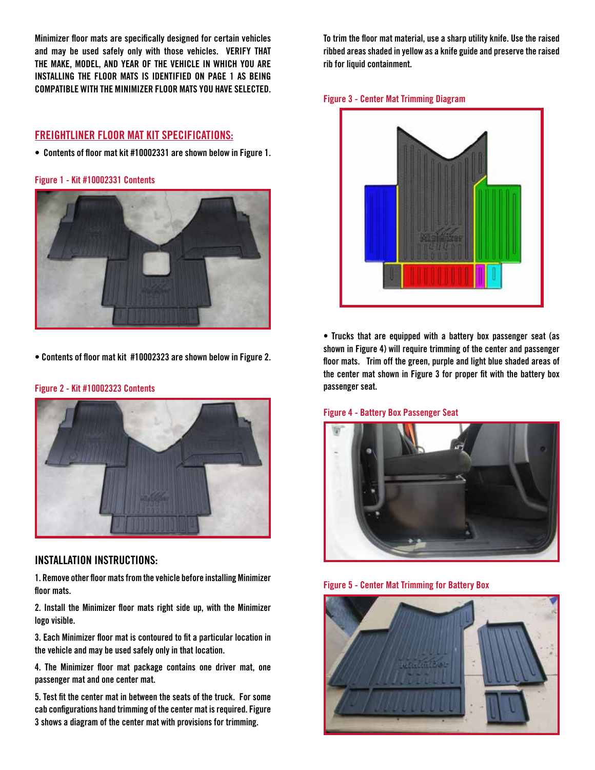**Minimizer floor mats are specifically designed for certain vehicles and may be used safely only with those vehicles. VERIFY THAT THE MAKE, MODEL, AND YEAR OF THE VEHICLE IN WHICH YOU ARE INSTALLING THE FLOOR MATS IS IDENTIFIED ON PAGE 1 AS BEING COMPATIBLE WITH THE MINIMIZER FLOOR MATS YOU HAVE SELECTED.**

# **FREIGHTLINER FLOOR MAT KIT SPECIFICATIONS:**

**• Contents of floor mat kit #10002331 are shown below in Figure 1.**

**Figure 1 - Kit #10002331 Contents**



**• Contents of floor mat kit #10002323 are shown below in Figure 2.** 



#### **Figure 2 - Kit #10002323 Contents**

# **INSTALLATION INSTRUCTIONS:**

**1. Remove other floor mats from the vehicle before installing Minimizer floor mats.**

**2. Install the Minimizer floor mats right side up, with the Minimizer logo visible.**

**3. Each Minimizer floor mat is contoured to fit a particular location in the vehicle and may be used safely only in that location.**

**4. The Minimizer floor mat package contains one driver mat, one passenger mat and one center mat.** 

**5. Test fit the center mat in between the seats of the truck. For some cab configurations hand trimming of the center mat is required. Figure 3 shows a diagram of the center mat with provisions for trimming.**

**To trim the floor mat material, use a sharp utility knife. Use the raised ribbed areas shaded in yellow as a knife guide and preserve the raised rib for liquid containment.** 





**• Trucks that are equipped with a battery box passenger seat (as shown in Figure 4) will require trimming of the center and passenger floor mats. Trim off the green, purple and light blue shaded areas of the center mat shown in Figure 3 for proper fit with the battery box passenger seat.**

#### **Figure 4 - Battery Box Passenger Seat**



**Figure 5 - Center Mat Trimming for Battery Box**

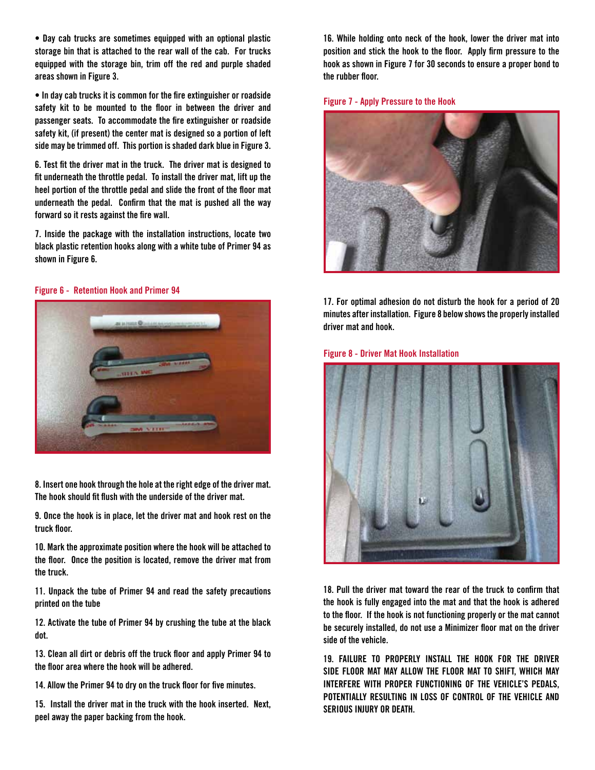**• Day cab trucks are sometimes equipped with an optional plastic storage bin that is attached to the rear wall of the cab. For trucks equipped with the storage bin, trim off the red and purple shaded areas shown in Figure 3.**

**• In day cab trucks it is common for the fire extinguisher or roadside safety kit to be mounted to the floor in between the driver and passenger seats. To accommodate the fire extinguisher or roadside safety kit, (if present) the center mat is designed so a portion of left side may be trimmed off. This portion is shaded dark blue in Figure 3.** 

**6. Test fit the driver mat in the truck. The driver mat is designed to fit underneath the throttle pedal. To install the driver mat, lift up the heel portion of the throttle pedal and slide the front of the floor mat underneath the pedal. Confirm that the mat is pushed all the way forward so it rests against the fire wall.** 

**7. Inside the package with the installation instructions, locate two black plastic retention hooks along with a white tube of Primer 94 as shown in Figure 6.** 

#### **Figure 6 - Retention Hook and Primer 94**



**9. Once the hook is in place, let the driver mat and hook rest on the truck floor.**

**10. Mark the approximate position where the hook will be attached to the floor. Once the position is located, remove the driver mat from the truck.**

**11. Unpack the tube of Primer 94 and read the safety precautions printed on the tube**

**12. Activate the tube of Primer 94 by crushing the tube at the black dot.** 

**13. Clean all dirt or debris off the truck floor and apply Primer 94 to the floor area where the hook will be adhered.**

**14. Allow the Primer 94 to dry on the truck floor for five minutes.** 

**15. Install the driver mat in the truck with the hook inserted. Next, peel away the paper backing from the hook.**

**16. While holding onto neck of the hook, lower the driver mat into position and stick the hook to the floor. Apply firm pressure to the hook as shown in Figure 7 for 30 seconds to ensure a proper bond to the rubber floor.**

**Figure 7 - Apply Pressure to the Hook**



**17. For optimal adhesion do not disturb the hook for a period of 20 minutes after installation. Figure 8 below shows the properly installed driver mat and hook.**

**Figure 8 - Driver Mat Hook Installation**



**18. Pull the driver mat toward the rear of the truck to confirm that the hook is fully engaged into the mat and that the hook is adhered to the floor. If the hook is not functioning properly or the mat cannot be securely installed, do not use a Minimizer floor mat on the driver side of the vehicle.**

**19. FAILURE TO PROPERLY INSTALL THE HOOK FOR THE DRIVER SIDE FLOOR MAT MAY ALLOW THE FLOOR MAT TO SHIFT, WHICH MAY INTERFERE WITH PROPER FUNCTIONING OF THE VEHICLE'S PEDALS, POTENTIALLY RESULTING IN LOSS OF CONTROL OF THE VEHICLE AND SERIOUS INJURY OR DEATH.**